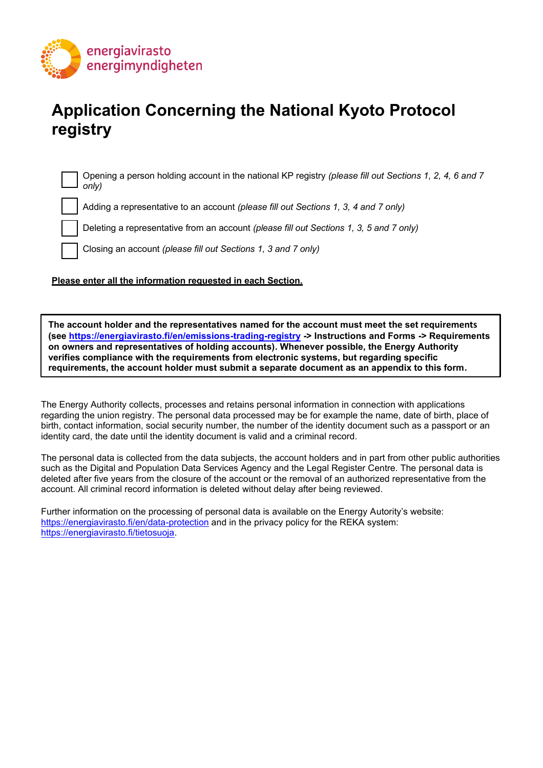

# **Application Concerning the National Kyoto Protocol registry**

Opening a person holding account in the national KP registry *(please fill out Sections 1, 2, 4, 6 and 7 only)*

Adding a representative to an account *(please fill out Sections 1, 3, 4 and 7 only)*

Deleting a representative from an account *(please fill out Sections 1, 3, 5 and 7 only)*

Closing an account *(please fill out Sections 1, 3 and 7 only)*

#### **Please enter all the information requested in each Section.**

**The account holder and the representatives named for the account must meet the set requirements (see<https://energiavirasto.fi/en/emissions-trading-registry> -> Instructions and Forms -> Requirements on owners and representatives of holding accounts). Whenever possible, the Energy Authority verifies compliance with the requirements from electronic systems, but regarding specific requirements, the account holder must submit a separate document as an appendix to this form.**

The Energy Authority collects, processes and retains personal information in connection with applications regarding the union registry. The personal data processed may be for example the name, date of birth, place of birth, contact information, social security number, the number of the identity document such as a passport or an identity card, the date until the identity document is valid and a criminal record.

The personal data is collected from the data subjects, the account holders and in part from other public authorities such as the Digital and Population Data Services Agency and the Legal Register Centre. The personal data is deleted after five years from the closure of the account or the removal of an authorized representative from the account. All criminal record information is deleted without delay after being reviewed.

Further information on the processing of personal data is available on the Energy Autority's website: <https://energiavirasto.fi/en/data-protection> and in the privacy policy for the REKA system: [https://energiavirasto.fi/tietosuoja.](https://energiavirasto.fi/tietosuoja)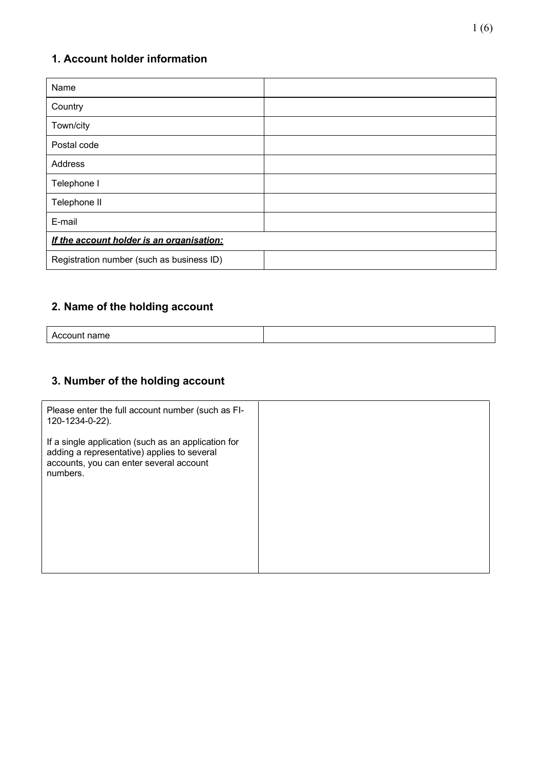### **1. Account holder information**

| Name                                      |  |
|-------------------------------------------|--|
| Country                                   |  |
| Town/city                                 |  |
| Postal code                               |  |
| Address                                   |  |
| Telephone I                               |  |
| Telephone II                              |  |
| E-mail                                    |  |
| If the account holder is an organisation: |  |
| Registration number (such as business ID) |  |

### **2. Name of the holding account**

## **3. Number of the holding account**

| Please enter the full account number (such as FI-<br>120-1234-0-22).                                                                                      |  |
|-----------------------------------------------------------------------------------------------------------------------------------------------------------|--|
| If a single application (such as an application for<br>adding a representative) applies to several<br>accounts, you can enter several account<br>numbers. |  |
|                                                                                                                                                           |  |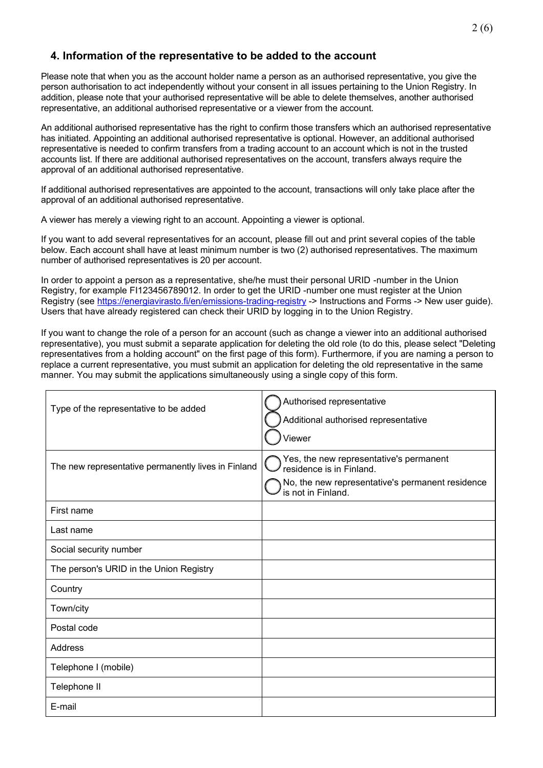#### **4. Information of the representative to be added to the account**

Please note that when you as the account holder name a person as an authorised representative, you give the person authorisation to act independently without your consent in all issues pertaining to the Union Registry. In addition, please note that your authorised representative will be able to delete themselves, another authorised representative, an additional authorised representative or a viewer from the account.

An additional authorised representative has the right to confirm those transfers which an authorised representative has initiated. Appointing an additional authorised representative is optional. However, an additional authorised representative is needed to confirm transfers from a trading account to an account which is not in the trusted accounts list. If there are additional authorised representatives on the account, transfers always require the approval of an additional authorised representative.

If additional authorised representatives are appointed to the account, transactions will only take place after the approval of an additional authorised representative.

A viewer has merely a viewing right to an account. Appointing a viewer is optional.

If you want to add several representatives for an account, please fill out and print several copies of the table below. Each account shall have at least minimum number is two (2) authorised representatives. The maximum number of authorised representatives is 20 per account.

In order to appoint a person as a representative, she/he must their personal URID -number in the Union Registry, for example FI123456789012. In order to get the URID -number one must register at the Union Registry (see <https://energiavirasto.fi/en/emissions-trading-registry> -> Instructions and Forms -> New user guide). Users that have already registered can check their URID by logging in to the Union Registry.

If you want to change the role of a person for an account (such as change a viewer into an additional authorised representative), you must submit a separate application for deleting the old role (to do this, please select "Deleting representatives from a holding account" on the first page of this form). Furthermore, if you are naming a person to replace a current representative, you must submit an application for deleting the old representative in the same manner. You may submit the applications simultaneously using a single copy of this form.

| Type of the representative to be added              | Authorised representative                                              |
|-----------------------------------------------------|------------------------------------------------------------------------|
|                                                     | Additional authorised representative                                   |
|                                                     | Viewer                                                                 |
| The new representative permanently lives in Finland | Yes, the new representative's permanent<br>residence is in Finland.    |
|                                                     | No, the new representative's permanent residence<br>is not in Finland. |
| First name                                          |                                                                        |
| Last name                                           |                                                                        |
| Social security number                              |                                                                        |
| The person's URID in the Union Registry             |                                                                        |
| Country                                             |                                                                        |
| Town/city                                           |                                                                        |
| Postal code                                         |                                                                        |
| Address                                             |                                                                        |
| Telephone I (mobile)                                |                                                                        |
| Telephone II                                        |                                                                        |
| E-mail                                              |                                                                        |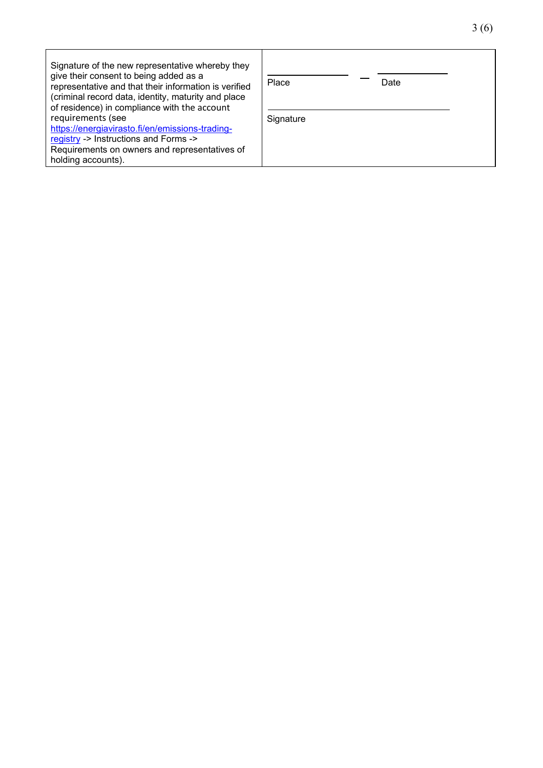| Signature of the new representative whereby they<br>give their consent to being added as a<br>representative and that their information is verified<br>(criminal record data, identity, maturity and place<br>of residence) in compliance with the account<br>requirements (see<br>https://energiavirasto.fi/en/emissions-trading-<br>registry -> Instructions and Forms -><br>Requirements on owners and representatives of<br>holding accounts). | Place     | Date |
|----------------------------------------------------------------------------------------------------------------------------------------------------------------------------------------------------------------------------------------------------------------------------------------------------------------------------------------------------------------------------------------------------------------------------------------------------|-----------|------|
|                                                                                                                                                                                                                                                                                                                                                                                                                                                    | Signature |      |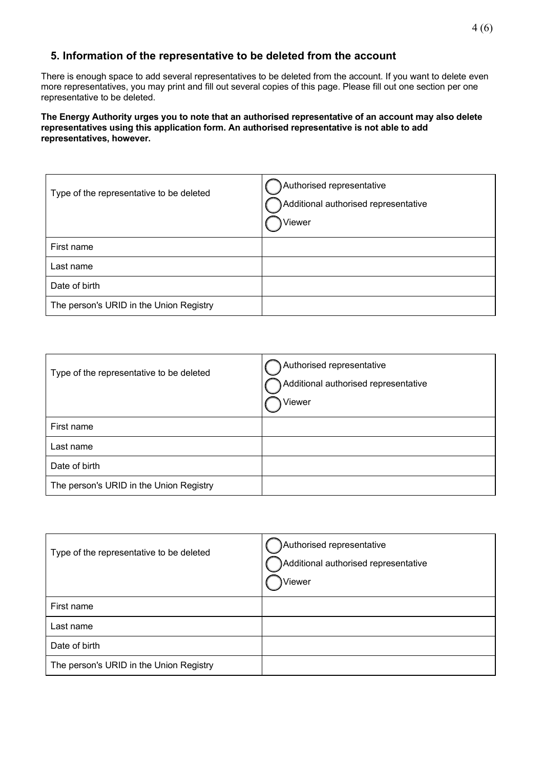### **5. Information of the representative to be deleted from the account**

There is enough space to add several representatives to be deleted from the account. If you want to delete even more representatives, you may print and fill out several copies of this page. Please fill out one section per one representative to be deleted.

#### **The Energy Authority urges you to note that an authorised representative of an account may also delete representatives using this application form. An authorised representative is not able to add representatives, however.**

| Type of the representative to be deleted | Authorised representative<br>Additional authorised representative<br>Viewer |
|------------------------------------------|-----------------------------------------------------------------------------|
| First name                               |                                                                             |
| Last name                                |                                                                             |
| Date of birth                            |                                                                             |
| The person's URID in the Union Registry  |                                                                             |

| Type of the representative to be deleted | Authorised representative<br>Additional authorised representative<br>Viewer |
|------------------------------------------|-----------------------------------------------------------------------------|
| First name                               |                                                                             |
| Last name                                |                                                                             |
| Date of birth                            |                                                                             |
| The person's URID in the Union Registry  |                                                                             |

| Type of the representative to be deleted | Authorised representative<br>Additional authorised representative<br>,Viewer |
|------------------------------------------|------------------------------------------------------------------------------|
| First name                               |                                                                              |
| Last name                                |                                                                              |
| Date of birth                            |                                                                              |
| The person's URID in the Union Registry  |                                                                              |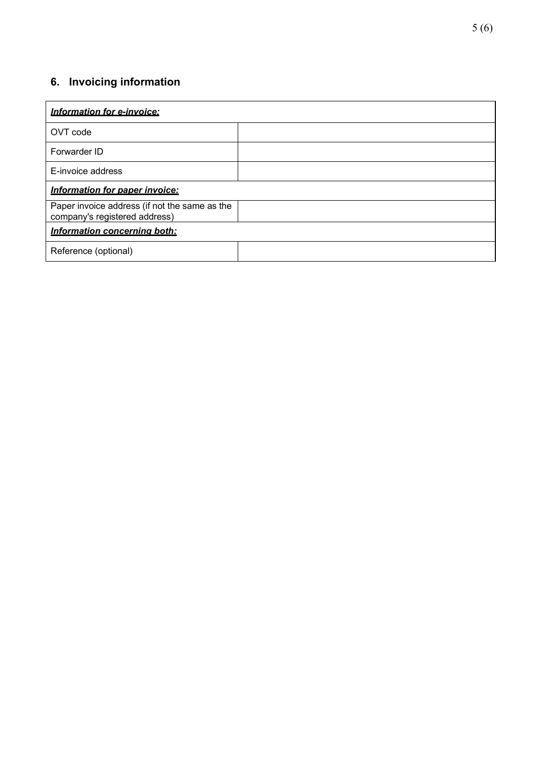## **6. Invoicing information**

| Information for e-invoice:                                                     |  |
|--------------------------------------------------------------------------------|--|
| OVT code                                                                       |  |
| Forwarder ID                                                                   |  |
| E-invoice address                                                              |  |
| Information for paper invoice:                                                 |  |
| Paper invoice address (if not the same as the<br>company's registered address) |  |
| Information concerning both:                                                   |  |
| Reference (optional)                                                           |  |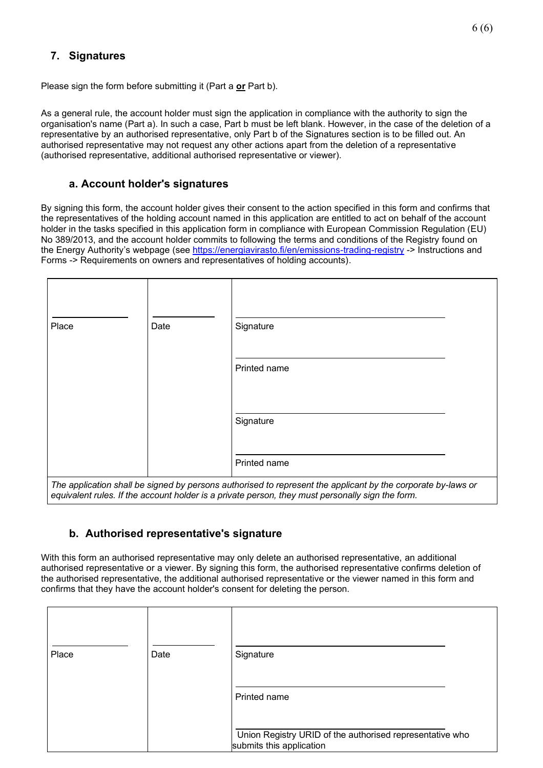### **7. Signatures**

Please sign the form before submitting it (Part a **or** Part b).

As a general rule, the account holder must sign the application in compliance with the authority to sign the organisation's name (Part a). In such a case, Part b must be left blank. However, in the case of the deletion of a representative by an authorised representative, only Part b of the Signatures section is to be filled out. An authorised representative may not request any other actions apart from the deletion of a representative (authorised representative, additional authorised representative or viewer).

#### **a. Account holder's signatures**

By signing this form, the account holder gives their consent to the action specified in this form and confirms that the representatives of the holding account named in this application are entitled to act on behalf of the account holder in the tasks specified in this application form in compliance with European Commission Regulation (EU) No 389/2013, and the account holder commits to following the terms and conditions of the Registry found on the Energy Authority's webpage (see<https://energiavirasto.fi/en/emissions-trading-registry> -> Instructions and Forms -> Requirements on owners and representatives of holding accounts).

| Place | Date | Signature                                                                                                                                                                                                        |  |
|-------|------|------------------------------------------------------------------------------------------------------------------------------------------------------------------------------------------------------------------|--|
|       |      |                                                                                                                                                                                                                  |  |
|       |      | Printed name                                                                                                                                                                                                     |  |
|       |      |                                                                                                                                                                                                                  |  |
|       |      | Signature                                                                                                                                                                                                        |  |
|       |      | Printed name                                                                                                                                                                                                     |  |
|       |      | The application shall be signed by persons authorised to represent the applicant by the corporate by-laws or<br>equivalent rules. If the account holder is a private person, they must personally sign the form. |  |

#### **b. Authorised representative's signature**

With this form an authorised representative may only delete an authorised representative, an additional authorised representative or a viewer. By signing this form, the authorised representative confirms deletion of the authorised representative, the additional authorised representative or the viewer named in this form and confirms that they have the account holder's consent for deleting the person.

| Place | Date | Signature<br>Printed name                                                            |
|-------|------|--------------------------------------------------------------------------------------|
|       |      | Union Registry URID of the authorised representative who<br>submits this application |